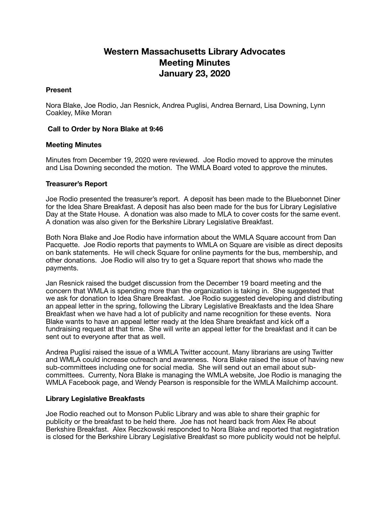# **Western Massachusetts Library Advocates Meeting Minutes January 23, 2020**

## **Present**

Nora Blake, Joe Rodio, Jan Resnick, Andrea Puglisi, Andrea Bernard, Lisa Downing, Lynn Coakley, Mike Moran

## **Call to Order by Nora Blake at 9:46**

### **Meeting Minutes**

Minutes from December 19, 2020 were reviewed. Joe Rodio moved to approve the minutes and Lisa Downing seconded the motion. The WMLA Board voted to approve the minutes.

### **Treasurer's Report**

Joe Rodio presented the treasurer's report. A deposit has been made to the Bluebonnet Diner for the Idea Share Breakfast. A deposit has also been made for the bus for Library Legislative Day at the State House. A donation was also made to MLA to cover costs for the same event. A donation was also given for the Berkshire Library Legislative Breakfast.

Both Nora Blake and Joe Rodio have information about the WMLA Square account from Dan Pacquette. Joe Rodio reports that payments to WMLA on Square are visible as direct deposits on bank statements. He will check Square for online payments for the bus, membership, and other donations. Joe Rodio will also try to get a Square report that shows who made the payments.

Jan Resnick raised the budget discussion from the December 19 board meeting and the concern that WMLA is spending more than the organization is taking in. She suggested that we ask for donation to Idea Share Breakfast. Joe Rodio suggested developing and distributing an appeal letter in the spring, following the Library Legislative Breakfasts and the Idea Share Breakfast when we have had a lot of publicity and name recognition for these events. Nora Blake wants to have an appeal letter ready at the Idea Share breakfast and kick off a fundraising request at that time. She will write an appeal letter for the breakfast and it can be sent out to everyone after that as well.

Andrea Puglisi raised the issue of a WMLA Twitter account. Many librarians are using Twitter and WMLA could increase outreach and awareness. Nora Blake raised the issue of having new sub-committees including one for social media. She will send out an email about subcommittees. Currenty, Nora Blake is managing the WMLA website, Joe Rodio is managing the WMLA Facebook page, and Wendy Pearson is responsible for the WMLA Mailchimp account.

#### **Library Legislative Breakfasts**

Joe Rodio reached out to Monson Public Library and was able to share their graphic for publicity or the breakfast to be held there. Joe has not heard back from Alex Re about Berkshire Breakfast. Alex Reczkowski responded to Nora Blake and reported that registration is closed for the Berkshire Library Legislative Breakfast so more publicity would not be helpful.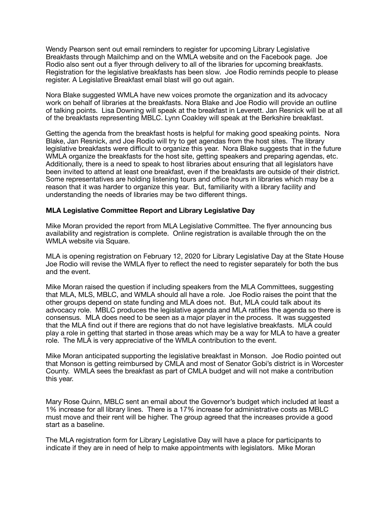Wendy Pearson sent out email reminders to register for upcoming Library Legislative Breakfasts through Mailchimp and on the WMLA website and on the Facebook page. Joe Rodio also sent out a flyer through delivery to all of the libraries for upcoming breakfasts. Registration for the legislative breakfasts has been slow. Joe Rodio reminds people to please register. A Legislative Breakfast email blast will go out again.

Nora Blake suggested WMLA have new voices promote the organization and its advocacy work on behalf of libraries at the breakfasts. Nora Blake and Joe Rodio will provide an outline of talking points. Lisa Downing will speak at the breakfast in Leverett. Jan Resnick will be at all of the breakfasts representing MBLC. Lynn Coakley will speak at the Berkshire breakfast.

Getting the agenda from the breakfast hosts is helpful for making good speaking points. Nora Blake, Jan Resnick, and Joe Rodio will try to get agendas from the host sites. The library legislative breakfasts were difficult to organize this year. Nora Blake suggests that in the future WMLA organize the breakfasts for the host site, getting speakers and preparing agendas, etc. Additionally, there is a need to speak to host libraries about ensuring that all legislators have been invited to attend at least one breakfast, even if the breakfasts are outside of their district. Some representatives are holding listening tours and office hours in libraries which may be a reason that it was harder to organize this year. But, familiarity with a library facility and understanding the needs of libraries may be two different things.

## **MLA Legislative Committee Report and Library Legislative Day**

Mike Moran provided the report from MLA Legislative Committee. The flyer announcing bus availability and registration is complete. Online registration is available through the on the WMLA website via Square.

MLA is opening registration on February 12, 2020 for Library Legislative Day at the State House Joe Rodio will revise the WMLA flyer to reflect the need to register separately for both the bus and the event.

Mike Moran raised the question if including speakers from the MLA Committees, suggesting that MLA, MLS, MBLC, and WMLA should all have a role. Joe Rodio raises the point that the other groups depend on state funding and MLA does not. But, MLA could talk about its advocacy role. MBLC produces the legislative agenda and MLA ratifies the agenda so there is consensus. MLA does need to be seen as a major player in the process. It was suggested that the MLA find out if there are regions that do not have legislative breakfasts. MLA could play a role in getting that started in those areas which may be a way for MLA to have a greater role. The MLA is very appreciative of the WMLA contribution to the event.

Mike Moran anticipated supporting the legislative breakfast in Monson. Joe Rodio pointed out that Monson is getting reimbursed by CMLA and most of Senator Gobi's district is in Worcester County. WMLA sees the breakfast as part of CMLA budget and will not make a contribution this year.

Mary Rose Quinn, MBLC sent an email about the Governor's budget which included at least a 1% increase for all library lines. There is a 17% increase for administrative costs as MBLC must move and their rent will be higher. The group agreed that the increases provide a good start as a baseline.

The MLA registration form for Library Legislative Day will have a place for participants to indicate if they are in need of help to make appointments with legislators. Mike Moran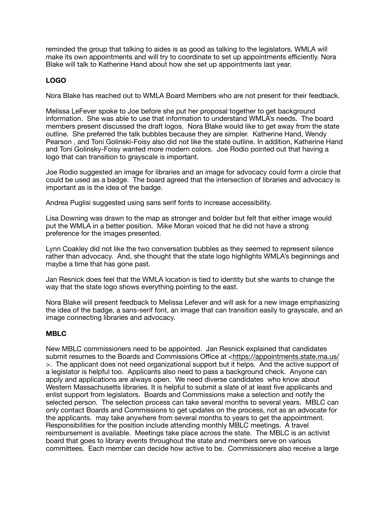reminded the group that talking to aides is as good as talking to the legislators. WMLA will make its own appointments and will try to coordinate to set up appointments efficiently. Nora Blake will talk to Katherine Hand about how she set up appointments last year.

# **LOGO**

Nora Blake has reached out to WMLA Board Members who are not present for their feedback.

Melissa LeFever spoke to Joe before she put her proposal together to get background information. She was able to use that information to understand WMLA's needs. The board members present discussed the draft logos. Nora Blake would like to get away from the state outline. She preferred the talk bubbles because they are simpler. Katherine Hand, Wendy Pearson , and Toni Golinski-Foisy also did not like the state outline. In addition, Katherine Hand and Toni Golinsky-Foisy wanted more modern colors. Joe Rodio pointed out that having a logo that can transition to grayscale is important.

Joe Rodio suggested an image for libraries and an image for advocacy could form a circle that could be used as a badge. The board agreed that the intersection of libraries and advocacy is important as is the idea of the badge.

Andrea Puglisi suggested using sans serif fonts to increase accessibility.

Lisa Downing was drawn to the map as stronger and bolder but felt that either image would put the WMLA in a better position. Mike Moran voiced that he did not have a strong preference for the images presented.

Lynn Coakley did not like the two conversation bubbles as they seemed to represent silence rather than advocacy. And, she thought that the state logo highlights WMLA's beginnings and maybe a time that has gone past.

Jan Resnick does feel that the WMLA location is tied to identity but she wants to change the way that the state logo shows everything pointing to the east.

Nora Blake will present feedback to Melissa Lefever and will ask for a new image emphasizing the idea of the badge, a sans-serif font, an image that can transition easily to grayscale, and an image connecting libraries and advocacy.

## **MBLC**

New MBLC commissioners need to be appointed. Jan Resnick explained that candidates submit resumes to the Boards and Commissions Office at <<https://appointments.state.ma.us/> >. The applicant does not need organizational support but it helps. And the active support of a legislator is helpful too. Applicants also need to pass a background check. Anyone can apply and applications are always open. We need diverse candidates who know about Western Massachusetts libraries. It is helpful to submit a slate of at least five applicants and enlist support from legislators. Boards and Commissions make a selection and notify the selected person. The selection process can take several months to several years. MBLC can only contact Boards and Commissions to get updates on the process, not as an advocate for the applicants. may take anywhere from several months to years to get the appointment. Responsibilities for the position include attending monthly MBLC meetings. A travel reimbursement is available. Meetings take place across the state. The MBLC is an activist board that goes to library events throughout the state and members serve on various committees. Each member can decide how active to be. Commissioners also receive a large